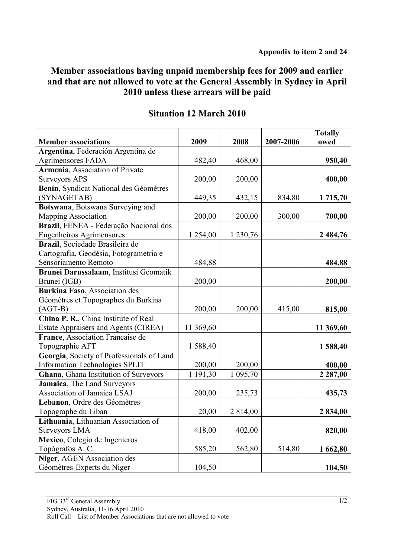## **Member associations having unpaid membership fees for 2009 and earlier and that are not allowed to vote at the General Assembly in Sydney in April 2010 unless these arrears will be paid**

| <b>Member associations</b>                                                     | 2009               | 2008               | 2007-2006 | <b>Totally</b><br>owed |
|--------------------------------------------------------------------------------|--------------------|--------------------|-----------|------------------------|
| Argentina, Federación Argentina de                                             |                    |                    |           |                        |
| <b>Agrimensores FADA</b>                                                       | 482,40             | 468,00             |           | 950,40                 |
| Armenia, Association of Private                                                |                    |                    |           |                        |
| <b>Surveyors APS</b>                                                           | 200,00             | 200,00             |           | 400,00                 |
| Benin, Syndicat National des Géomètres                                         |                    |                    |           |                        |
| (SYNAGETAB)                                                                    | 449,35             | 432,15             | 834,80    | 1 715,70               |
| Botswana, Botswana Surveying and                                               |                    |                    |           |                        |
| Mapping Association                                                            | 200,00             | 200,00             | 300,00    | 700,00                 |
| Brazil, FENEA - Federação Nacional dos                                         |                    |                    |           |                        |
| <b>Engenheiros Agrimensores</b>                                                | 1 254,00           | 1 2 3 0 , 7 6      |           | 2 484,76               |
| Brazil, Sociedade Brasileira de                                                |                    |                    |           |                        |
| Cartografia, Geodésia, Fotogrametria e                                         |                    |                    |           |                        |
| Sensoriamento Remoto                                                           | 484,88             |                    |           | 484,88                 |
| Brunei Darussalaam, Institusi Geomatik                                         |                    |                    |           |                        |
| Brunei (IGB)                                                                   | 200,00             |                    |           | 200,00                 |
| Burkina Faso, Association des                                                  |                    |                    |           |                        |
| Géomètres et Topographes du Burkina                                            |                    |                    |           |                        |
| $(AGT-B)$                                                                      | 200,00             | 200,00             | 415,00    | 815,00                 |
| China P. R., China Institute of Real                                           |                    |                    |           |                        |
| <b>Estate Appraisers and Agents (CIREA)</b>                                    | 11 369,60          |                    |           | 11 369,60              |
| France, Association Francaise de                                               |                    |                    |           |                        |
| Topographie AFT                                                                | 1588,40            |                    |           | 1588,40                |
| Georgia, Society of Professionals of Land                                      |                    |                    |           |                        |
| <b>Information Technologies SPLIT</b><br>Ghana, Ghana Institution of Surveyors | 200,00<br>1 191,30 | 200,00<br>1 095,70 |           | 400,00<br>2 2 8 7,00   |
| Jamaica, The Land Surveyors                                                    |                    |                    |           |                        |
| Association of Jamaica LSAJ                                                    | 200,00             | 235,73             |           | 435,73                 |
| Lebanon, Ordre des Géomètres-                                                  |                    |                    |           |                        |
| Topographe du Liban                                                            | 20,00              | 2 814,00           |           | 2 834,00               |
| Lithuania, Lithuanian Association of                                           |                    |                    |           |                        |
| Surveyors LMA                                                                  | 418,00             | 402,00             |           | 820,00                 |
| Mexico, Colegio de Ingenieros                                                  |                    |                    |           |                        |
| Topógrafos A. C.                                                               | 585,20             | 562,80             | 514,80    | 1 662,80               |
| Niger, AGEN Association des                                                    |                    |                    |           |                        |
| Géomètres-Experts du Niger                                                     | 104,50             |                    |           | 104,50                 |

## **Situation 12 March 2010**